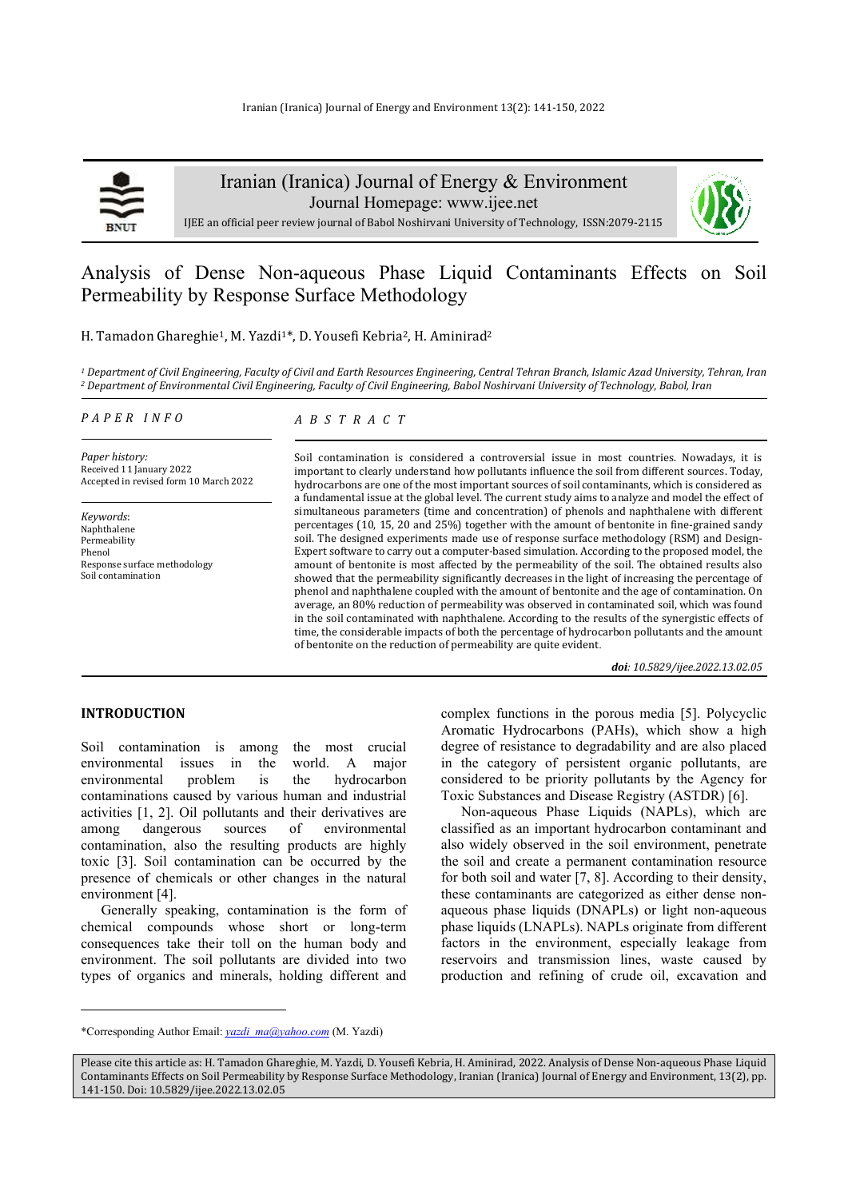

Iranian (Iranica) Journal of Energy & Environment

Journal Homepage: www.ijee.net



IJEE an official peer review journal of Babol Noshirvani University of Technology, ISSN:2079-2115

# Analysis of Dense Non-aqueous Phase Liquid Contaminants Effects on Soil Permeability by Response Surface Methodology

H. Tamadon Ghareghie<sup>1</sup>, M. Yazdi<sup>1\*</sup>, D. Yousefi Kebria<sup>2</sup>, H. Aminirad<sup>2</sup>

*1 Department of Civil Engineering, Faculty of Civil and Earth Resources Engineering, Central Tehran Branch, Islamic Azad University, Tehran, Iran 2 Department of Environmental Civil Engineering, Faculty of Civil Engineering, Babol Noshirvani University of Technology, Babol, Iran* 

#### *P A P E R I N F O*

*A B S T R A C T* 

*Paper history:*  Received 11 January 2022 Accepted in revised form 10 March 2022

*Keywords*: Naphthalene Permeability Phenol Response surface methodology Soil contamination

Soil contamination is considered a controversial issue in most countries. Nowadays, it is important to clearly understand how pollutants influence the soil from different sources. Today, hydrocarbons are one of the most important sources of soil contaminants, which is considered as a fundamental issue at the global level. The current study aims to analyze and model the effect of simultaneous parameters (time and concentration) of phenols and naphthalene with different percentages (10, 15, 20 and 25%) together with the amount of bentonite in fine-grained sandy soil. The designed experiments made use of response surface methodology (RSM) and Design-Expert software to carry out a computer-based simulation. According to the proposed model, the amount of bentonite is most affected by the permeability of the soil. The obtained results also showed that the permeability significantly decreases in the light of increasing the percentage of phenol and naphthalene coupled with the amount of bentonite and the age of contamination. On average, an 80% reduction of permeability was observed in contaminated soil, which was found in the soil contaminated with naphthalene. According to the results of the synergistic effects of time, the considerable impacts of both the percentage of hydrocarbon pollutants and the amount of bentonite on the reduction of permeability are quite evident.

*doi: 10.5829/ijee.2022.13.02.05*

## **INTRODUCTION**

Soil contamination is among the most crucial environmental issues in the world. A major environmental problem is the hydrocarbon contaminations caused by various human and industrial activities [1, 2]. Oil pollutants and their derivatives are among dangerous sources of environmental contamination, also the resulting products are highly toxic [3]. Soil contamination can be occurred by the presence of chemicals or other changes in the natural environment [4].

Generally speaking, contamination is the form of chemical compounds whose short or long-term consequences take their toll on the human body and environment. The soil pollutants are divided into two types of organics and minerals, holding different and

complex functions in the porous media [5]. Polycyclic Aromatic Hydrocarbons (PAHs), which show a high degree of resistance to degradability and are also placed in the category of persistent organic pollutants, are considered to be priority pollutants by the Agency for Toxic Substances and Disease Registry (ASTDR) [6].

Non-aqueous Phase Liquids (NAPLs), which are classified as an important hydrocarbon contaminant and also widely observed in the soil environment, penetrate the soil and create a permanent contamination resource for both soil and water [7, 8]. According to their density, these contaminants are categorized as either dense nonaqueous phase liquids (DNAPLs) or light non-aqueous phase liquids (LNAPLs). NAPLs originate from different factors in the environment, especially leakage from reservoirs and transmission lines, waste caused by production and refining of crude oil, excavation and

<sup>\*</sup>Corresponding Author Email: *yazdi\_ma@yahoo.com* (M. Yazdi)

Please cite this article as: H. Tamadon Ghareghie, M. Yazdi, D. Yousefi Kebria, H. Aminirad, 2022. Analysis of Dense Non-aqueous Phase Liquid Contaminants Effects on Soil Permeability by Response Surface Methodology, Iranian (Iranica) Journal of Energy and Environment, 13(2), pp. 141-150. Doi: 10.5829/ijee.2022.13.02.05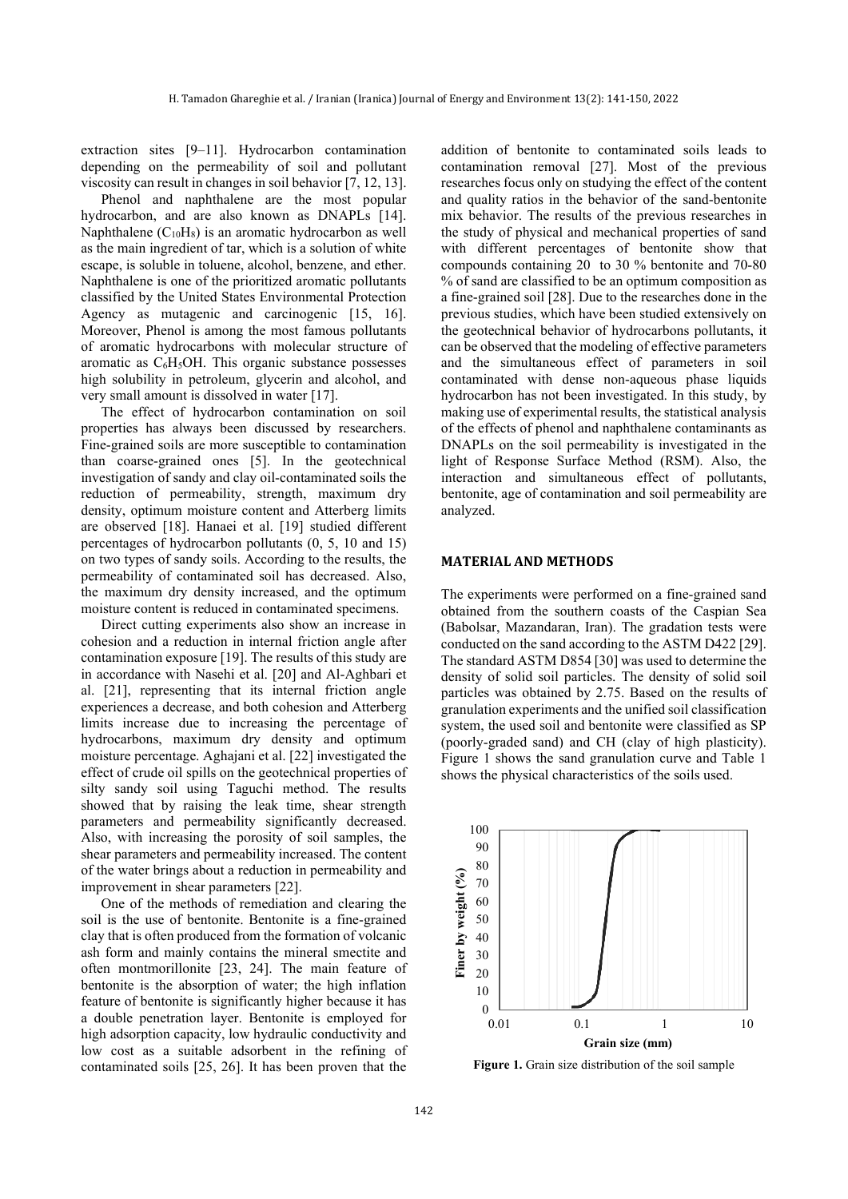extraction sites [9–11]. Hydrocarbon contamination depending on the permeability of soil and pollutant viscosity can result in changes in soil behavior [7, 12, 13].

Phenol and naphthalene are the most popular hydrocarbon, and are also known as DNAPLs [14]. Naphthalene  $(C_{10}H_8)$  is an aromatic hydrocarbon as well as the main ingredient of tar, which is a solution of white escape, is soluble in toluene, alcohol, benzene, and ether. Naphthalene is one of the prioritized aromatic pollutants classified by the United States Environmental Protection Agency as mutagenic and carcinogenic [15, 16]. Moreover, Phenol is among the most famous pollutants of aromatic hydrocarbons with molecular structure of aromatic as  $C_6H_5OH$ . This organic substance possesses high solubility in petroleum, glycerin and alcohol, and very small amount is dissolved in water [17].

The effect of hydrocarbon contamination on soil properties has always been discussed by researchers. Fine-grained soils are more susceptible to contamination than coarse-grained ones [5]. In the geotechnical investigation of sandy and clay oil-contaminated soils the reduction of permeability, strength, maximum dry density, optimum moisture content and Atterberg limits are observed [18]. Hanaei et al. [19] studied different percentages of hydrocarbon pollutants (0, 5, 10 and 15) on two types of sandy soils. According to the results, the permeability of contaminated soil has decreased. Also, the maximum dry density increased, and the optimum moisture content is reduced in contaminated specimens.

Direct cutting experiments also show an increase in cohesion and a reduction in internal friction angle after contamination exposure [19]. The results of this study are in accordance with Nasehi et al. [20] and Al-Aghbari et al. [21], representing that its internal friction angle experiences a decrease, and both cohesion and Atterberg limits increase due to increasing the percentage of hydrocarbons, maximum dry density and optimum moisture percentage. Aghajani et al. [22] investigated the effect of crude oil spills on the geotechnical properties of silty sandy soil using Taguchi method. The results showed that by raising the leak time, shear strength parameters and permeability significantly decreased. Also, with increasing the porosity of soil samples, the shear parameters and permeability increased. The content of the water brings about a reduction in permeability and improvement in shear parameters [22].

One of the methods of remediation and clearing the soil is the use of bentonite. Bentonite is a fine-grained clay that is often produced from the formation of volcanic ash form and mainly contains the mineral smectite and often montmorillonite [23, 24]. The main feature of bentonite is the absorption of water; the high inflation feature of bentonite is significantly higher because it has a double penetration layer. Bentonite is employed for high adsorption capacity, low hydraulic conductivity and low cost as a suitable adsorbent in the refining of contaminated soils [25, 26]. It has been proven that the

addition of bentonite to contaminated soils leads to contamination removal [27]. Most of the previous researches focus only on studying the effect of the content and quality ratios in the behavior of the sand-bentonite mix behavior. The results of the previous researches in the study of physical and mechanical properties of sand with different percentages of bentonite show that compounds containing 20 to 30 % bentonite and 70-80 % of sand are classified to be an optimum composition as a fine-grained soil [28]. Due to the researches done in the previous studies, which have been studied extensively on the geotechnical behavior of hydrocarbons pollutants, it can be observed that the modeling of effective parameters and the simultaneous effect of parameters in soil contaminated with dense non-aqueous phase liquids hydrocarbon has not been investigated. In this study, by making use of experimental results, the statistical analysis of the effects of phenol and naphthalene contaminants as DNAPLs on the soil permeability is investigated in the light of Response Surface Method (RSM). Also, the interaction and simultaneous effect of pollutants, bentonite, age of contamination and soil permeability are analyzed.

## **MATERIAL AND METHODS**

The experiments were performed on a fine-grained sand obtained from the southern coasts of the Caspian Sea (Babolsar, Mazandaran, Iran). The gradation tests were conducted on the sand according to the ASTM D422 [29]. The standard ASTM D854 [30] was used to determine the density of solid soil particles. The density of solid soil particles was obtained by 2.75. Based on the results of granulation experiments and the unified soil classification system, the used soil and bentonite were classified as SP (poorly-graded sand) and CH (clay of high plasticity). Figure 1 shows the sand granulation curve and Table 1 shows the physical characteristics of the soils used.



**Figure 1.** Grain size distribution of the soil sample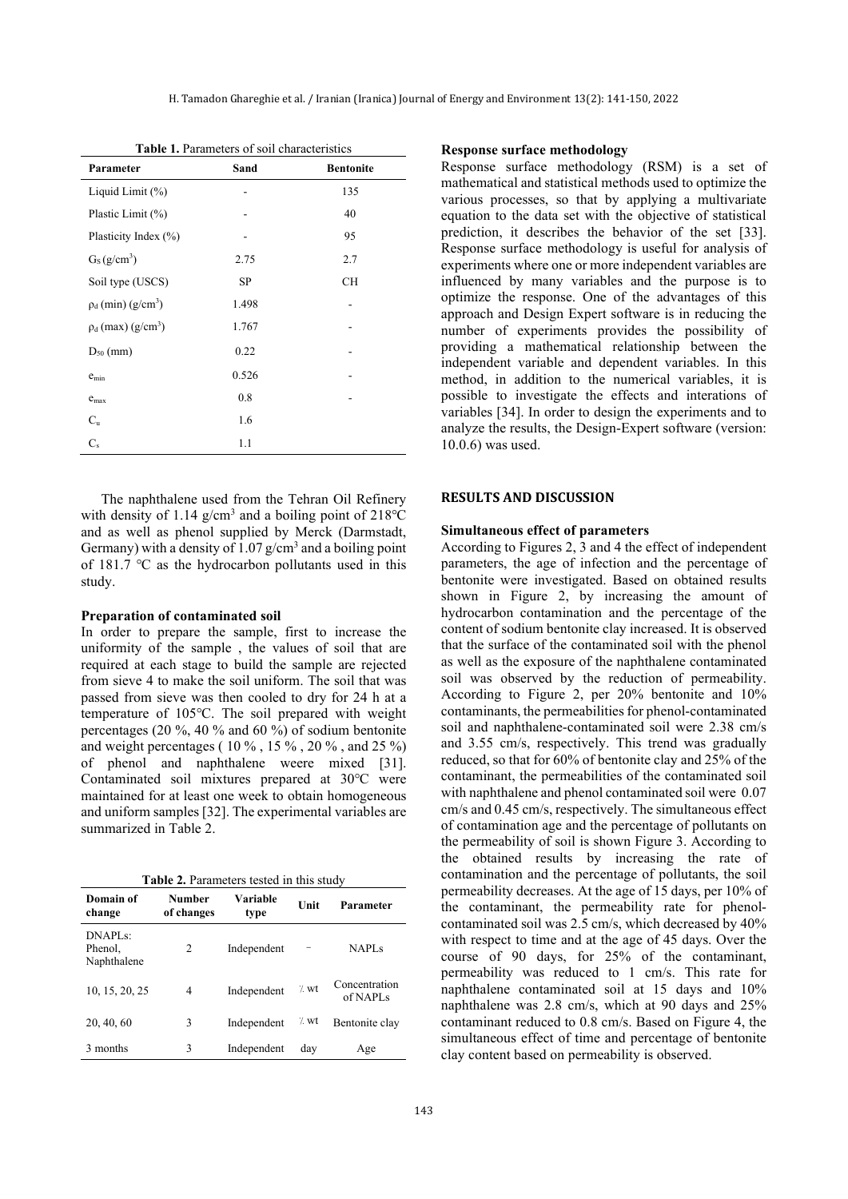**Table 1.** Parameters of soil characteristics

| Parameter                           | Sand  | <b>Bentonite</b> |
|-------------------------------------|-------|------------------|
| Liquid Limit $(\%)$                 |       | 135              |
| Plastic Limit (%)                   |       | 40               |
| Plasticity Index (%)                |       | 95               |
| $G_S(g/cm^3)$                       | 2.75  | 2.7              |
| Soil type (USCS)                    | SP    | <b>CH</b>        |
| $\rho_d$ (min) (g/cm <sup>3</sup> ) | 1.498 |                  |
| $\rho_d$ (max) (g/cm <sup>3</sup> ) | 1.767 |                  |
| $D_{50}$ (mm)                       | 0.22  |                  |
| $e_{\min}$                          | 0.526 |                  |
| $e_{max}$                           | 0.8   |                  |
| $C_{\rm u}$                         | 1.6   |                  |
| $C_{s}$                             | 1.1   |                  |

The naphthalene used from the Tehran Oil Refinery with density of 1.14  $g/cm<sup>3</sup>$  and a boiling point of 218°C and as well as phenol supplied by Merck (Darmstadt, Germany) with a density of  $1.07$  g/cm<sup>3</sup> and a boiling point of 181.7 ℃ as the hydrocarbon pollutants used in this study.

# **Preparation of contaminated soil**

In order to prepare the sample, first to increase the uniformity of the sample , the values of soil that are required at each stage to build the sample are rejected from sieve 4 to make the soil uniform. The soil that was passed from sieve was then cooled to dry for 24 h at a temperature of 105℃. The soil prepared with weight percentages (20 %, 40 % and 60 %) of sodium bentonite and weight percentages ( 10 % , 15 % , 20 % , and 25 %) of phenol and naphthalene weere mixed [31]. Contaminated soil mixtures prepared at 30℃ were maintained for at least one week to obtain homogeneous and uniform samples [32]. The experimental variables are summarized in Table 2.

**Table 2.** Parameters tested in this study

| Domain of<br>change                  | Number<br>of changes | Variable<br>type | Unit             | Parameter                             |  |
|--------------------------------------|----------------------|------------------|------------------|---------------------------------------|--|
| $DNAPI$ s:<br>Phenol,<br>Naphthalene | 2                    | Independent      |                  | <b>NAPLS</b>                          |  |
| 10, 15, 20, 25                       | 4                    | Independent      | $\frac{1}{2}$ wt | Concentration<br>of NAPL <sub>S</sub> |  |
| 20, 40, 60                           | 3                    | Independent      | $\frac{7}{1}$ wt | Bentonite clay                        |  |
| 3 months                             | 3                    | Independent      | day              | Age                                   |  |

# **Response surface methodology**

Response surface methodology (RSM) is a set of mathematical and statistical methods used to optimize the various processes, so that by applying a multivariate equation to the data set with the objective of statistical prediction, it describes the behavior of the set [33]. Response surface methodology is useful for analysis of experiments where one or more independent variables are influenced by many variables and the purpose is to optimize the response. One of the advantages of this approach and Design Expert software is in reducing the number of experiments provides the possibility of providing a mathematical relationship between the independent variable and dependent variables. In this method, in addition to the numerical variables, it is possible to investigate the effects and interations of variables [34]. In order to design the experiments and to analyze the results, the Design-Expert software (version: 10.0.6) was used.

## **RESULTS AND DISCUSSION**

#### **Simultaneous effect of parameters**

According to Figures 2, 3 and 4 the effect of independent parameters, the age of infection and the percentage of bentonite were investigated. Based on obtained results shown in Figure 2, by increasing the amount of hydrocarbon contamination and the percentage of the content of sodium bentonite clay increased. It is observed that the surface of the contaminated soil with the phenol as well as the exposure of the naphthalene contaminated soil was observed by the reduction of permeability. According to Figure 2, per 20% bentonite and 10% contaminants, the permeabilities for phenol-contaminated soil and naphthalene-contaminated soil were 2.38 cm/s and 3.55 cm/s, respectively. This trend was gradually reduced, so that for 60% of bentonite clay and 25% of the contaminant, the permeabilities of the contaminated soil with naphthalene and phenol contaminated soil were 0.07 cm/s and 0.45 cm/s, respectively. The simultaneous effect of contamination age and the percentage of pollutants on the permeability of soil is shown Figure 3. According to the obtained results by increasing the rate of contamination and the percentage of pollutants, the soil permeability decreases. At the age of 15 days, per 10% of the contaminant, the permeability rate for phenolcontaminated soil was 2.5 cm/s, which decreased by 40% with respect to time and at the age of 45 days. Over the course of 90 days, for 25% of the contaminant, permeability was reduced to 1 cm/s. This rate for naphthalene contaminated soil at 15 days and 10% naphthalene was 2.8 cm/s, which at 90 days and 25% contaminant reduced to 0.8 cm/s. Based on Figure 4, the simultaneous effect of time and percentage of bentonite clay content based on permeability is observed.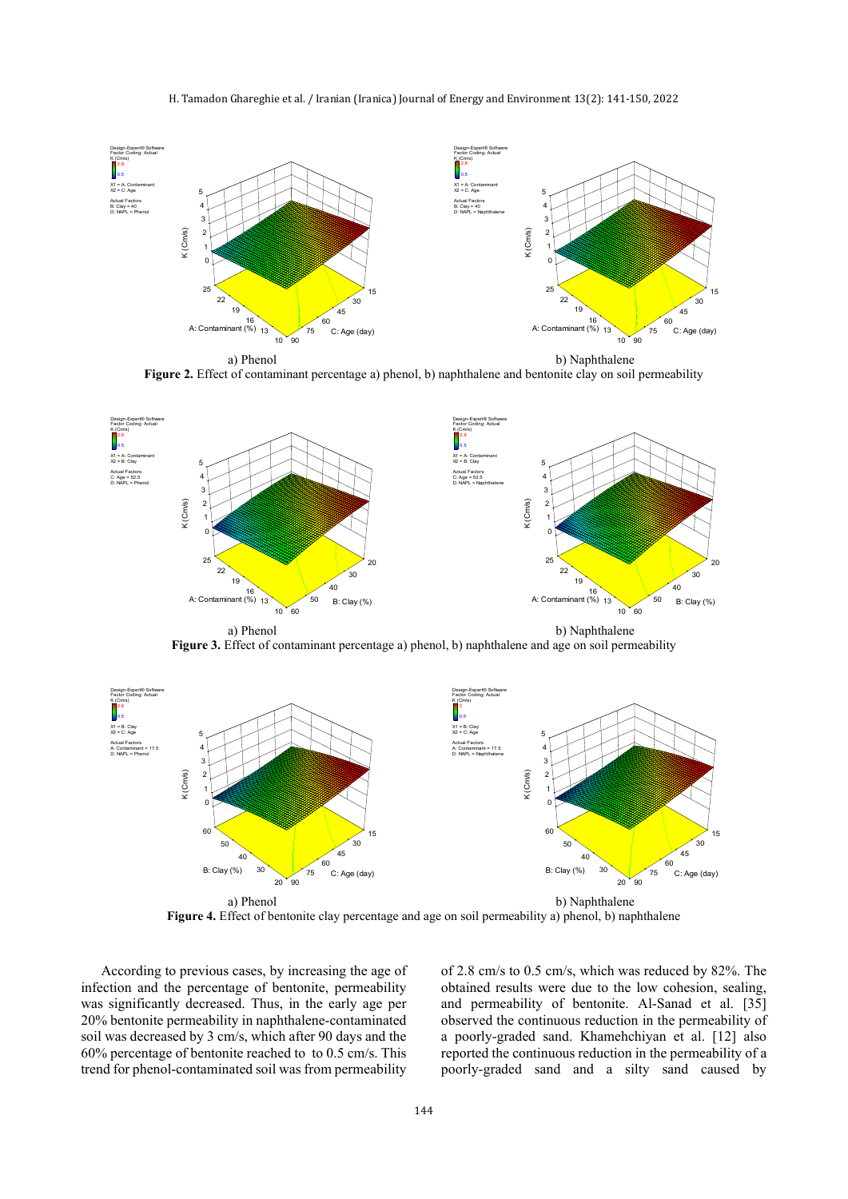#### H. Tamadon Ghareghie et al. / Iranian (Iranica) Journal of Energy and Environment 13(2): 141-150, 2022



**Figure 2.** Effect of contaminant percentage a) phenol, b) naphthalene and bentonite clay on soil permeability



Figure 3. Effect of contaminant percentage a) phenol, b) naphthalene and age on soil permeability



**Figure 4.** Effect of bentonite clay percentage and age on soil permeability a) phenol, b) naphthalene

According to previous cases, by increasing the age of infection and the percentage of bentonite, permeability was significantly decreased. Thus, in the early age per 20% bentonite permeability in naphthalene-contaminated soil was decreased by 3 cm/s, which after 90 days and the 60% percentage of bentonite reached to to 0.5 cm/s. This trend for phenol-contaminated soil was from permeability

of 2.8 cm/s to 0.5 cm/s, which was reduced by 82%. The obtained results were due to the low cohesion, sealing, and permeability of bentonite. Al-Sanad et al. [35] observed the continuous reduction in the permeability of a poorly-graded sand. Khamehchiyan et al. [12] also reported the continuous reduction in the permeability of a poorly-graded sand and a silty sand caused by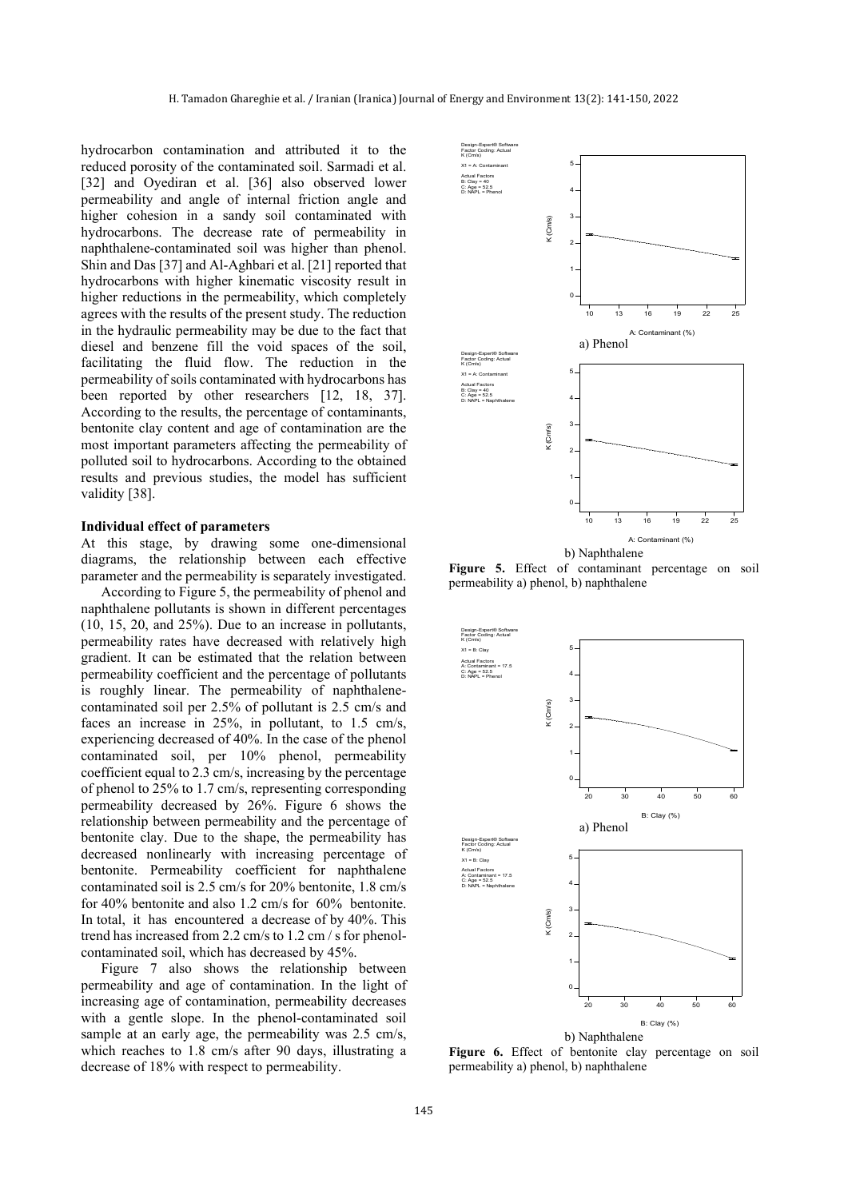hydrocarbon contamination and attributed it to the reduced porosity of the contaminated soil. Sarmadi et al. [32] and Oyediran et al. [36] also observed lower permeability and angle of internal friction angle and higher cohesion in a sandy soil contaminated with hydrocarbons. The decrease rate of permeability in naphthalene-contaminated soil was higher than phenol. Shin and Das [37] and Al-Aghbari et al. [21] reported that hydrocarbons with higher kinematic viscosity result in higher reductions in the permeability, which completely agrees with the results of the present study. The reduction in the hydraulic permeability may be due to the fact that diesel and benzene fill the void spaces of the soil, facilitating the fluid flow. The reduction in the permeability of soils contaminated with hydrocarbons has been reported by other researchers [12, 18, 37]. According to the results, the percentage of contaminants, bentonite clay content and age of contamination are the most important parameters affecting the permeability of polluted soil to hydrocarbons. According to the obtained results and previous studies, the model has sufficient validity [38].

#### **Individual effect of parameters**

At this stage, by drawing some one-dimensional diagrams, the relationship between each effective parameter and the permeability is separately investigated.

According to Figure 5, the permeability of phenol and naphthalene pollutants is shown in different percentages (10, 15, 20, and 25%). Due to an increase in pollutants, permeability rates have decreased with relatively high gradient. It can be estimated that the relation between permeability coefficient and the percentage of pollutants is roughly linear. The permeability of naphthalenecontaminated soil per 2.5% of pollutant is 2.5 cm/s and faces an increase in 25%, in pollutant, to 1.5 cm/s, experiencing decreased of 40%. In the case of the phenol contaminated soil, per 10% phenol, permeability coefficient equal to 2.3 cm/s, increasing by the percentage of phenol to 25% to 1.7 cm/s, representing corresponding permeability decreased by 26%. Figure 6 shows the relationship between permeability and the percentage of bentonite clay. Due to the shape, the permeability has decreased nonlinearly with increasing percentage of bentonite. Permeability coefficient for naphthalene contaminated soil is 2.5 cm/s for 20% bentonite, 1.8 cm/s for 40% bentonite and also 1.2 cm/s for 60% bentonite. In total, it has encountered a decrease of by 40%. This trend has increased from 2.2 cm/s to 1.2 cm / s for phenolcontaminated soil, which has decreased by 45%.

Figure 7 also shows the relationship between permeability and age of contamination. In the light of increasing age of contamination, permeability decreases with a gentle slope. In the phenol-contaminated soil sample at an early age, the permeability was 2.5 cm/s, which reaches to 1.8 cm/s after 90 days, illustrating a decrease of 18% with respect to permeability.



**Figure 5.** Effect of contaminant percentage on soil permeability a) phenol, b) naphthalene



**Figure 6.** Effect of bentonite clay percentage on soil permeability a) phenol, b) naphthalene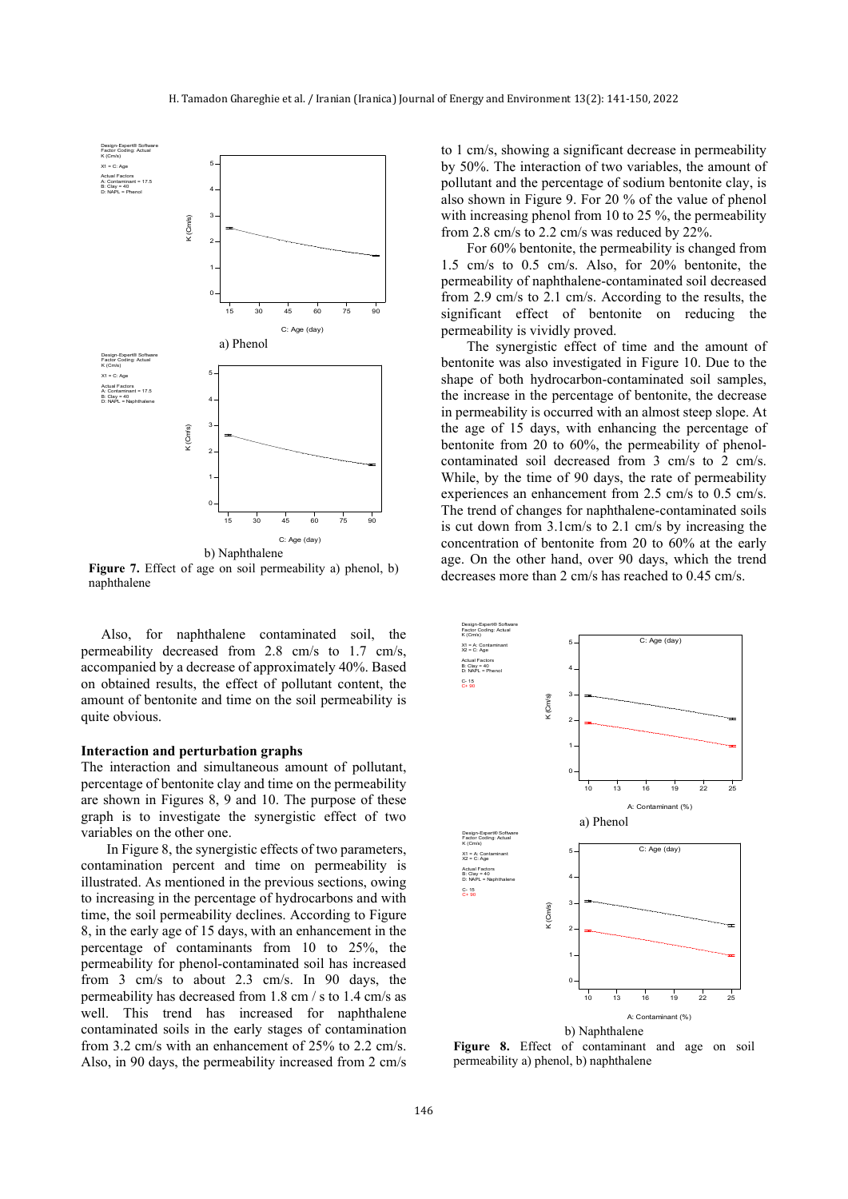

**Figure 7.** Effect of age on soil permeability a) phenol, b) naphthalene

Also, for naphthalene contaminated soil, the permeability decreased from 2.8 cm/s to 1.7 cm/s, accompanied by a decrease of approximately 40%. Based on obtained results, the effect of pollutant content, the amount of bentonite and time on the soil permeability is quite obvious.

#### **Interaction and perturbation graphs**

The interaction and simultaneous amount of pollutant, percentage of bentonite clay and time on the permeability are shown in Figures 8, 9 and 10. The purpose of these graph is to investigate the synergistic effect of two variables on the other one.

In Figure 8, the synergistic effects of two parameters, contamination percent and time on permeability is illustrated. As mentioned in the previous sections, owing to increasing in the percentage of hydrocarbons and with time, the soil permeability declines. According to Figure 8, in the early age of 15 days, with an enhancement in the percentage of contaminants from 10 to 25%, the permeability for phenol-contaminated soil has increased from 3 cm/s to about 2.3 cm/s. In 90 days, the permeability has decreased from 1.8 cm / s to 1.4 cm/s as well. This trend has increased for naphthalene contaminated soils in the early stages of contamination from 3.2 cm/s with an enhancement of 25% to 2.2 cm/s. Also, in 90 days, the permeability increased from 2 cm/s to 1 cm/s, showing a significant decrease in permeability by 50%. The interaction of two variables, the amount of pollutant and the percentage of sodium bentonite clay, is also shown in Figure 9. For 20 % of the value of phenol with increasing phenol from 10 to 25 %, the permeability from 2.8 cm/s to 2.2 cm/s was reduced by 22%.

For 60% bentonite, the permeability is changed from 1.5 cm/s to 0.5 cm/s. Also, for 20% bentonite, the permeability of naphthalene-contaminated soil decreased from 2.9 cm/s to 2.1 cm/s. According to the results, the significant effect of bentonite on reducing the permeability is vividly proved.

The synergistic effect of time and the amount of bentonite was also investigated in Figure 10. Due to the shape of both hydrocarbon-contaminated soil samples, the increase in the percentage of bentonite, the decrease in permeability is occurred with an almost steep slope. At the age of 15 days, with enhancing the percentage of bentonite from 20 to 60%, the permeability of phenolcontaminated soil decreased from 3 cm/s to 2 cm/s. While, by the time of 90 days, the rate of permeability experiences an enhancement from 2.5 cm/s to 0.5 cm/s. The trend of changes for naphthalene-contaminated soils is cut down from 3.1cm/s to 2.1 cm/s by increasing the concentration of bentonite from 20 to 60% at the early age. On the other hand, over 90 days, which the trend decreases more than 2 cm/s has reached to 0.45 cm/s.



**Figure 8.** Effect of contaminant and age on soil permeability a) phenol, b) naphthalene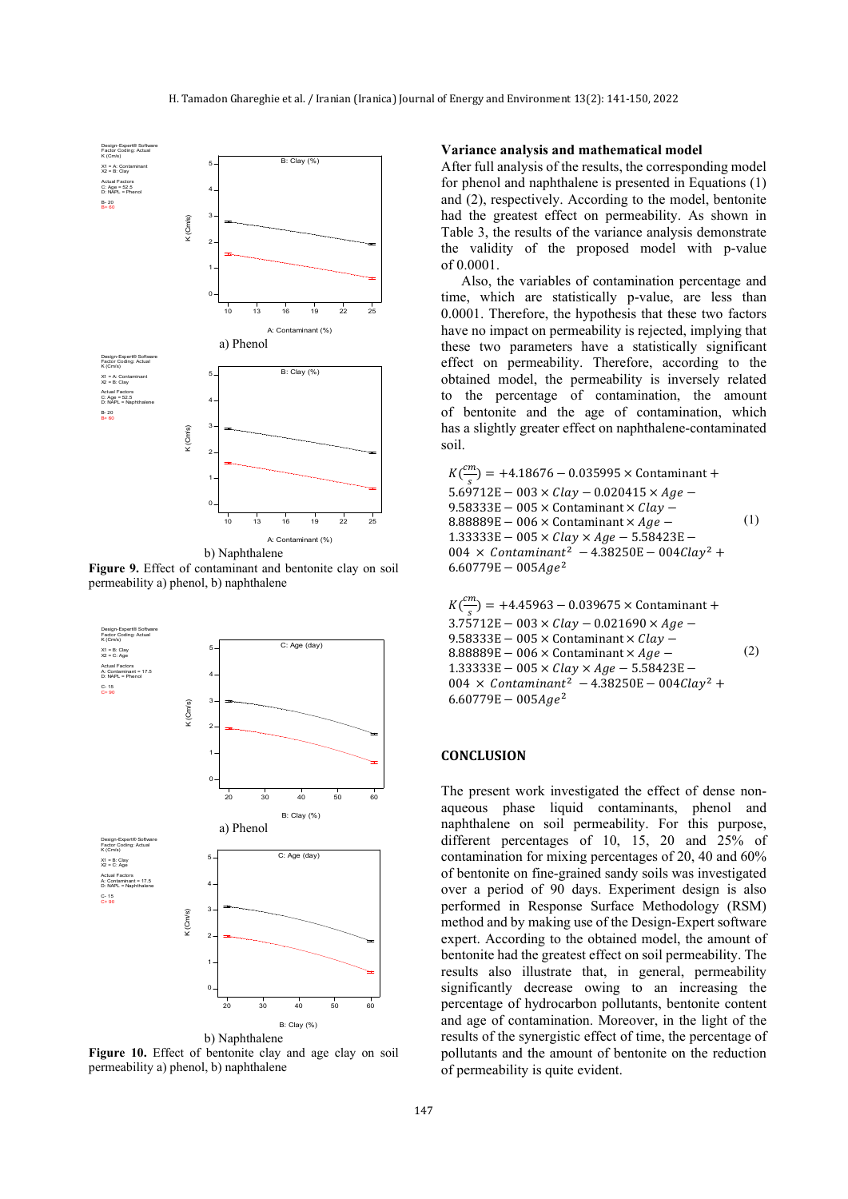

**Figure 9.** Effect of contaminant and bentonite clay on soil permeability a) phenol, b) naphthalene



**Figure 10.** Effect of bentonite clay and age clay on soil permeability a) phenol, b) naphthalene

#### **Variance analysis and mathematical model**

After full analysis of the results, the corresponding model for phenol and naphthalene is presented in Equations (1) and (2), respectively. According to the model, bentonite had the greatest effect on permeability. As shown in Table 3, the results of the variance analysis demonstrate the validity of the proposed model with p-value of 0.0001.

Also, the variables of contamination percentage and time, which are statistically p-value, are less than 0.0001. Therefore, the hypothesis that these two factors have no impact on permeability is rejected, implying that these two parameters have a statistically significant effect on permeability. Therefore, according to the obtained model, the permeability is inversely related to the percentage of contamination, the amount of bentonite and the age of contamination, which has a slightly greater effect on naphthalene-contaminated soil.

 $K(\frac{cm}{c})$  $\frac{m}{s}$ ) = +4.18676 – 0.035995 × Contaminant +  $5.69712E - 003 \times Clav - 0.020415 \times Age -$ 9.58333E  $-0.05 \times$  Contaminant  $\times$  *Clay*  $8.88889E - 006 \times$  Contaminant  $\times$  Age –  $1.33333E - 005 \times Clay \times Age - 5.58423E -$ 004  $\times$  Contaminant<sup>2</sup> - 4.38250E - 004 Clay<sup>2</sup> +  $6.60779E - 005Age^2$ (1)

$$
K\left(\frac{cm}{s}\right) = +4.45963 - 0.039675 \times \text{Contininant} + 3.75712E - 003 \times \text{clay} - 0.021690 \times Age - 9.58333E - 005 \times \text{Contininant} \times \text{Clay} - 8.88889E - 006 \times \text{Contininant} \times Age - 1.33333E - 005 \times \text{Clay} \times Age - 5.58423E - 004 \times \text{Contininant}^2 - 4.38250E - 004\text{Clay}^2 + 6.60779E - 005Age^2
$$

## **CONCLUSION**

The present work investigated the effect of dense nonaqueous phase liquid contaminants, phenol and naphthalene on soil permeability. For this purpose, different percentages of 10, 15, 20 and 25% of contamination for mixing percentages of 20, 40 and 60% of bentonite on fine-grained sandy soils was investigated over a period of 90 days. Experiment design is also performed in Response Surface Methodology (RSM) method and by making use of the Design-Expert software expert. According to the obtained model, the amount of bentonite had the greatest effect on soil permeability. The results also illustrate that, in general, permeability significantly decrease owing to an increasing the percentage of hydrocarbon pollutants, bentonite content and age of contamination. Moreover, in the light of the results of the synergistic effect of time, the percentage of pollutants and the amount of bentonite on the reduction of permeability is quite evident.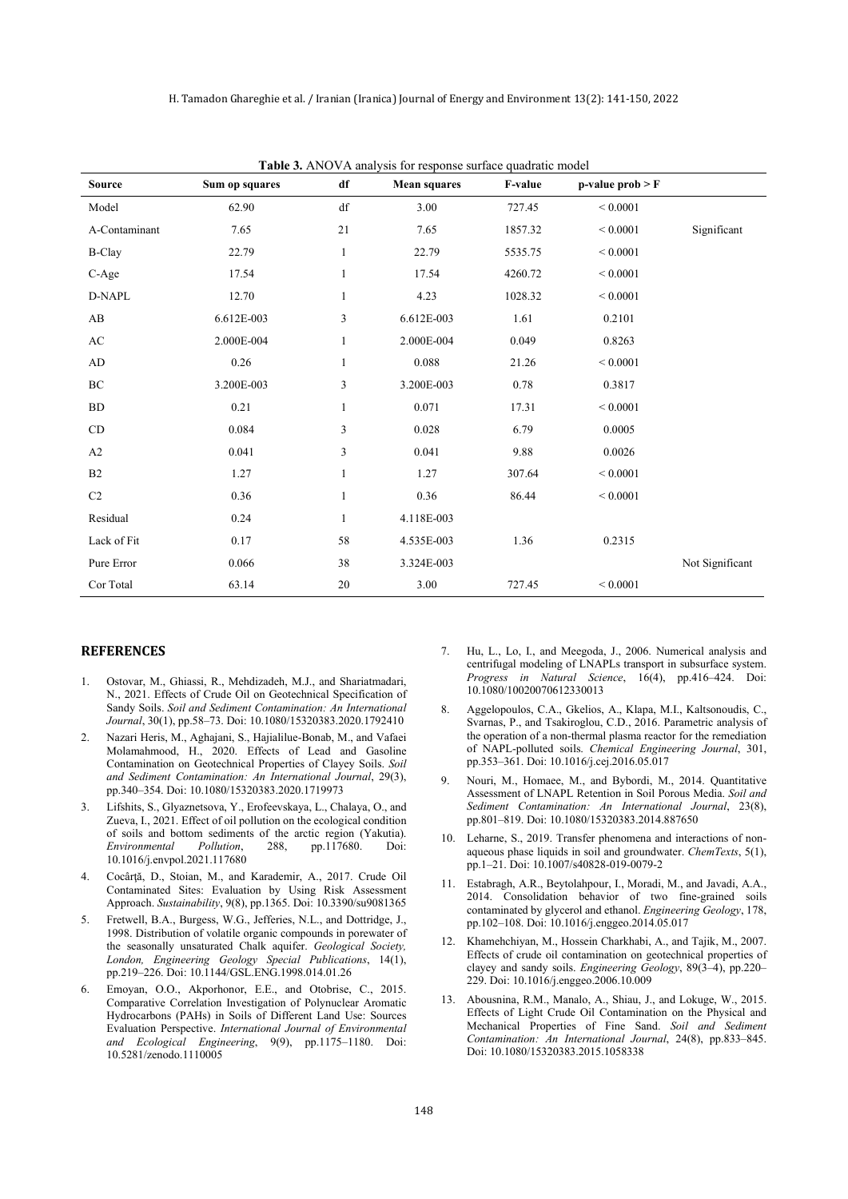| <b>Table 3.</b> ANOVA analysis for response surface quadratic model |                |              |                     |                |                    |                 |  |
|---------------------------------------------------------------------|----------------|--------------|---------------------|----------------|--------------------|-----------------|--|
| <b>Source</b>                                                       | Sum op squares | df           | <b>Mean squares</b> | <b>F-value</b> | $p-value prob > F$ |                 |  |
| Model                                                               | 62.90          | df           | 3.00                | 727.45         | ${}< 0.0001$       |                 |  |
| A-Contaminant                                                       | 7.65           | 21           | 7.65                | 1857.32        | ${}< 0.0001$       | Significant     |  |
| <b>B-Clay</b>                                                       | 22.79          | $\mathbf{1}$ | 22.79               | 5535.75        | ${}< 0.0001$       |                 |  |
| C-Age                                                               | 17.54          | $\mathbf{1}$ | 17.54               | 4260.72        | ${}< 0.0001$       |                 |  |
| D-NAPL                                                              | 12.70          | $\mathbf{1}$ | 4.23                | 1028.32        | ${}< 0.0001$       |                 |  |
| AB                                                                  | 6.612E-003     | 3            | 6.612E-003          | 1.61           | 0.2101             |                 |  |
| AC                                                                  | 2.000E-004     | 1            | 2.000E-004          | 0.049          | 0.8263             |                 |  |
| AD                                                                  | 0.26           | 1            | 0.088               | 21.26          | ${}< 0.0001$       |                 |  |
| BC                                                                  | 3.200E-003     | 3            | 3.200E-003          | 0.78           | 0.3817             |                 |  |
| ${\rm BD}$                                                          | 0.21           | 1            | 0.071               | 17.31          | ${}< 0.0001$       |                 |  |
| $\mathop{\rm CD}$                                                   | 0.084          | 3            | 0.028               | 6.79           | 0.0005             |                 |  |
| A2                                                                  | 0.041          | 3            | 0.041               | 9.88           | 0.0026             |                 |  |
| B2                                                                  | 1.27           | $\mathbf{1}$ | 1.27                | 307.64         | ${}< 0.0001$       |                 |  |
| $\rm{C2}$                                                           | 0.36           | $\mathbf{1}$ | 0.36                | 86.44          | ${}< 0.0001$       |                 |  |
| Residual                                                            | 0.24           | $\mathbf{1}$ | 4.118E-003          |                |                    |                 |  |
| Lack of Fit                                                         | 0.17           | 58           | 4.535E-003          | 1.36           | 0.2315             |                 |  |
| Pure Error                                                          | 0.066          | 38           | 3.324E-003          |                |                    | Not Significant |  |
| Cor Total                                                           | 63.14          | 20           | 3.00                | 727.45         | ${}< 0.0001$       |                 |  |

**Table 3.** ANOVA analysis for response surface quadratic model

#### **REFERENCES**

- 1. Ostovar, M., Ghiassi, R., Mehdizadeh, M.J., and Shariatmadari, N., 2021. Effects of Crude Oil on Geotechnical Specification of Sandy Soils. *Soil and Sediment Contamination: An International Journal*, 30(1), pp.58–73. Doi: 10.1080/15320383.2020.1792410
- 2. Nazari Heris, M., Aghajani, S., Hajialilue-Bonab, M., and Vafaei Molamahmood, H., 2020. Effects of Lead and Gasoline Contamination on Geotechnical Properties of Clayey Soils. *Soil and Sediment Contamination: An International Journal*, 29(3), pp.340–354. Doi: 10.1080/15320383.2020.1719973
- 3. Lifshits, S., Glyaznetsova, Y., Erofeevskaya, L., Chalaya, O., and Zueva, I., 2021. Effect of oil pollution on the ecological condition of soils and bottom sediments of the arctic region (Yakutia).<br> *Environmental* Pollution, 288, pp.117680. Doi: *Environmental Pollution*, 288, pp.117680. Doi: 10.1016/j.envpol.2021.117680
- 4. Cocârţă, D., Stoian, M., and Karademir, A., 2017. Crude Oil Contaminated Sites: Evaluation by Using Risk Assessment Approach. *Sustainability*, 9(8), pp.1365. Doi: 10.3390/su9081365
- 5. Fretwell, B.A., Burgess, W.G., Jefferies, N.L., and Dottridge, J., 1998. Distribution of volatile organic compounds in porewater of the seasonally unsaturated Chalk aquifer. *Geological Society, London, Engineering Geology Special Publications*, 14(1), pp.219–226. Doi: 10.1144/GSL.ENG.1998.014.01.26
- 6. Emoyan, O.O., Akporhonor, E.E., and Otobrise, C., 2015. Comparative Correlation Investigation of Polynuclear Aromatic Hydrocarbons (PAHs) in Soils of Different Land Use: Sources Evaluation Perspective. *International Journal of Environmental and Ecological Engineering*, 9(9), pp.1175–1180. Doi: 10.5281/zenodo.1110005
- 7. Hu, L., Lo, I., and Meegoda, J., 2006. Numerical analysis and centrifugal modeling of LNAPLs transport in subsurface system. *Progress in Natural Science*, 16(4), pp.416–424. Doi: 10.1080/10020070612330013
- 8. Aggelopoulos, C.A., Gkelios, A., Klapa, M.I., Kaltsonoudis, C., Svarnas, P., and Tsakiroglou, C.D., 2016. Parametric analysis of the operation of a non-thermal plasma reactor for the remediation of NAPL-polluted soils. *Chemical Engineering Journal*, 301, pp.353–361. Doi: 10.1016/j.cej.2016.05.017
- 9. Nouri, M., Homaee, M., and Bybordi, M., 2014. Quantitative Assessment of LNAPL Retention in Soil Porous Media. *Soil and Sediment Contamination: An International Journal*, 23(8), pp.801–819. Doi: 10.1080/15320383.2014.887650
- 10. Leharne, S., 2019. Transfer phenomena and interactions of nonaqueous phase liquids in soil and groundwater. *ChemTexts*, 5(1), pp.1–21. Doi: 10.1007/s40828-019-0079-2
- 11. Estabragh, A.R., Beytolahpour, I., Moradi, M., and Javadi, A.A., 2014. Consolidation behavior of two fine-grained soils contaminated by glycerol and ethanol. *Engineering Geology*, 178, pp.102–108. Doi: 10.1016/j.enggeo.2014.05.017
- 12. Khamehchiyan, M., Hossein Charkhabi, A., and Tajik, M., 2007. Effects of crude oil contamination on geotechnical properties of clayey and sandy soils. *Engineering Geology*, 89(3–4), pp.220– 229. Doi: 10.1016/j.enggeo.2006.10.009
- 13. Abousnina, R.M., Manalo, A., Shiau, J., and Lokuge, W., 2015. Effects of Light Crude Oil Contamination on the Physical and Mechanical Properties of Fine Sand. *Soil and Sediment Contamination: An International Journal*, 24(8), pp.833–845. Doi: 10.1080/15320383.2015.1058338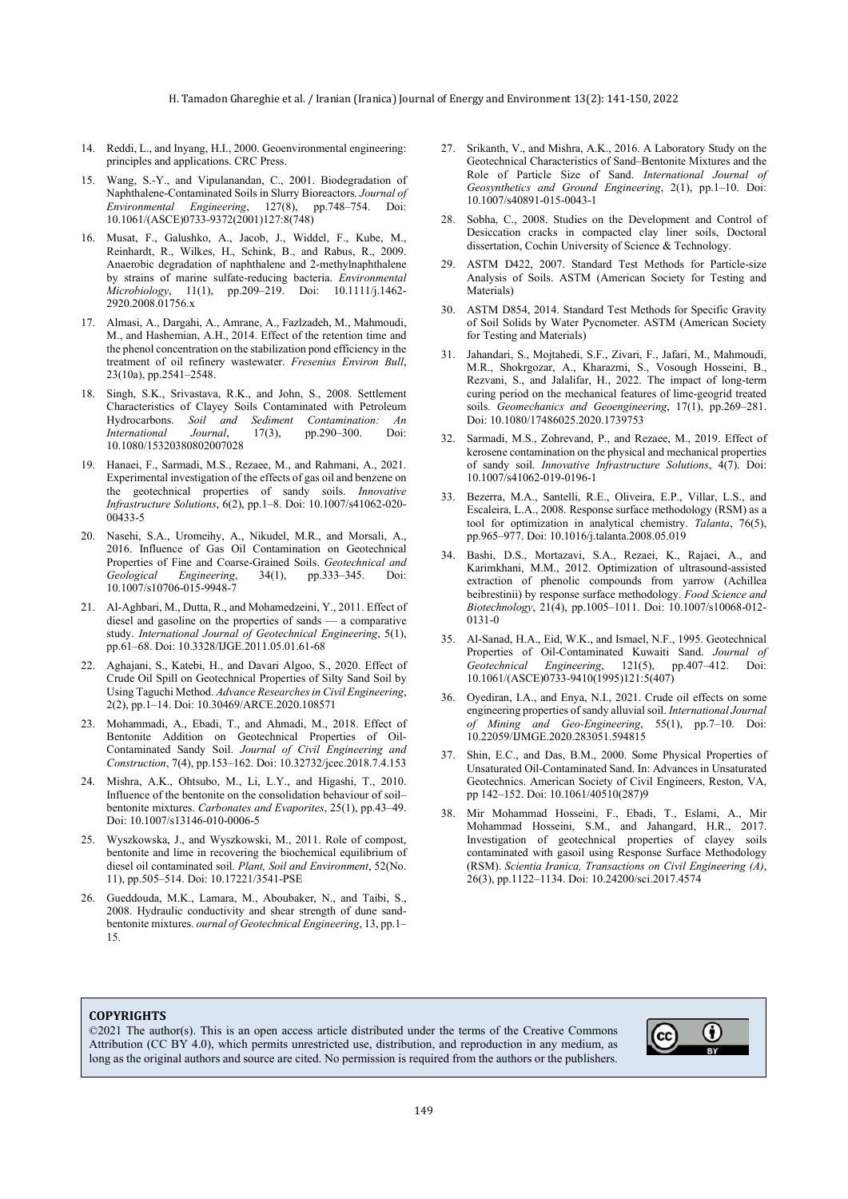- 14. Reddi, L., and Inyang, H.I., 2000. Geoenvironmental engineering: principles and applications. CRC Press.
- 15. Wang, S.-Y., and Vipulanandan, C., 2001. Biodegradation of Naphthalene-Contaminated Soils in Slurry Bioreactors. *Journal of Environmental Engineering*, 127(8), pp.748–754. Doi: 10.1061/(ASCE)0733-9372(2001)127:8(748)
- 16. Musat, F., Galushko, A., Jacob, J., Widdel, F., Kube, M., Reinhardt, R., Wilkes, H., Schink, B., and Rabus, R., 2009. Anaerobic degradation of naphthalene and 2-methylnaphthalene by strains of marine sulfate-reducing bacteria. *Environmental Microbiology*, 11(1), pp.209–219. Doi: 10.1111/j.1462- 2920.2008.01756.x
- 17. Almasi, A., Dargahi, A., Amrane, A., Fazlzadeh, M., Mahmoudi, M., and Hashemian, A.H., 2014. Effect of the retention time and the phenol concentration on the stabilization pond efficiency in the treatment of oil refinery wastewater. *Fresenius Environ Bull*, 23(10a), pp.2541–2548.
- 18. Singh, S.K., Srivastava, R.K., and John, S., 2008. Settlement Characteristics of Clayey Soils Contaminated with Petroleum<br>Hydrocarbons. Soil and Sediment Contamination: An Hydrocarbons. *Soil and Sediment Contamination: An I*7(3), pp.290–300. 10.1080/15320380802007028
- 19. Hanaei, F., Sarmadi, M.S., Rezaee, M., and Rahmani, A., 2021. Experimental investigation of the effects of gas oil and benzene on the geotechnical properties of sandy soils. *Innovative Infrastructure Solutions*, 6(2), pp.1–8. Doi: 10.1007/s41062-020- 00433-5
- 20. Nasehi, S.A., Uromeihy, A., Nikudel, M.R., and Morsali, A., 2016. Influence of Gas Oil Contamination on Geotechnical Properties of Fine and Coarse-Grained Soils. *Geotechnical and Geological Engineering*, 34(1), pp.333–345. Doi: 10.1007/s10706-015-9948-7
- 21. Al-Aghbari, M., Dutta, R., and Mohamedzeini, Y., 2011. Effect of diesel and gasoline on the properties of sands — a comparative study. *International Journal of Geotechnical Engineering*, 5(1), pp.61–68. Doi: 10.3328/IJGE.2011.05.01.61-68
- 22. Aghajani, S., Katebi, H., and Davari Algoo, S., 2020. Effect of Crude Oil Spill on Geotechnical Properties of Silty Sand Soil by Using Taguchi Method. *Advance Researches in Civil Engineering*, 2(2), pp.1–14. Doi: 10.30469/ARCE.2020.108571
- 23. Mohammadi, A., Ebadi, T., and Ahmadi, M., 2018. Effect of Bentonite Addition on Geotechnical Properties of Oil-Contaminated Sandy Soil. *Journal of Civil Engineering and Construction*, 7(4), pp.153–162. Doi: 10.32732/jcec.2018.7.4.153
- 24. Mishra, A.K., Ohtsubo, M., Li, L.Y., and Higashi, T., 2010. Influence of the bentonite on the consolidation behaviour of soil– bentonite mixtures. *Carbonates and Evaporites*, 25(1), pp.43–49. Doi: 10.1007/s13146-010-0006-5
- 25. Wyszkowska, J., and Wyszkowski, M., 2011. Role of compost, bentonite and lime in recovering the biochemical equilibrium of diesel oil contaminated soil. *Plant, Soil and Environment*, 52(No. 11), pp.505–514. Doi: 10.17221/3541-PSE
- 26. Gueddouda, M.K., Lamara, M., Aboubaker, N., and Taibi, S., 2008. Hydraulic conductivity and shear strength of dune sandbentonite mixtures. *ournal of Geotechnical Engineering*, 13, pp.1– 15.
- 27. Srikanth, V., and Mishra, A.K., 2016. A Laboratory Study on the Geotechnical Characteristics of Sand–Bentonite Mixtures and the Role of Particle Size of Sand. *International Journal of Geosynthetics and Ground Engineering*, 2(1), pp.1–10. Doi: 10.1007/s40891-015-0043-1
- 28. Sobha, C., 2008. Studies on the Development and Control of Desiccation cracks in compacted clay liner soils, Doctoral dissertation, Cochin University of Science & Technology.
- 29. ASTM D422, 2007. Standard Test Methods for Particle-size Analysis of Soils. ASTM (American Society for Testing and Materials)
- 30. ASTM D854, 2014. Standard Test Methods for Specific Gravity of Soil Solids by Water Pycnometer. ASTM (American Society for Testing and Materials)
- 31. Jahandari, S., Mojtahedi, S.F., Zivari, F., Jafari, M., Mahmoudi, M.R., Shokrgozar, A., Kharazmi, S., Vosough Hosseini, B., Rezvani, S., and Jalalifar, H., 2022. The impact of long-term curing period on the mechanical features of lime-geogrid treated soils. *Geomechanics and Geoengineering*, 17(1), pp.269–281. Doi: 10.1080/17486025.2020.1739753
- 32. Sarmadi, M.S., Zohrevand, P., and Rezaee, M., 2019. Effect of kerosene contamination on the physical and mechanical properties of sandy soil. *Innovative Infrastructure Solutions*, 4(7). Doi: 10.1007/s41062-019-0196-1
- 33. Bezerra, M.A., Santelli, R.E., Oliveira, E.P., Villar, L.S., and Escaleira, L.A., 2008. Response surface methodology (RSM) as a tool for optimization in analytical chemistry. *Talanta*, 76(5), pp.965–977. Doi: 10.1016/j.talanta.2008.05.019
- 34. Bashi, D.S., Mortazavi, S.A., Rezaei, K., Rajaei, A., and Karimkhani, M.M., 2012. Optimization of ultrasound-assisted extraction of phenolic compounds from yarrow (Achillea beibrestinii) by response surface methodology. *Food Science and Biotechnology*, 21(4), pp.1005–1011. Doi: 10.1007/s10068-012- 0131-0
- 35. Al-Sanad, H.A., Eid, W.K., and Ismael, N.F., 1995. Geotechnical Properties of Oil-Contaminated Kuwaiti Sand. *Journal of Geotechnical Engineering*, 121(5), pp.407–412. Doi: 10.1061/(ASCE)0733-9410(1995)121:5(407)
- 36. Oyediran, I.A., and Enya, N.I., 2021. Crude oil effects on some engineering properties of sandy alluvial soil. *International Journal of Mining and Geo-Engineering*, 55(1), pp.7–10. Doi: 10.22059/IJMGE.2020.283051.594815
- 37. Shin, E.C., and Das, B.M., 2000. Some Physical Properties of Unsaturated Oil-Contaminated Sand. In: Advances in Unsaturated Geotechnics. American Society of Civil Engineers, Reston, VA, pp 142–152. Doi: 10.1061/40510(287)9
- 38. Mir Mohammad Hosseini, F., Ebadi, T., Eslami, A., Mir Mohammad Hosseini, S.M., and Jahangard, H.R., 2017. Investigation of geotechnical properties of clayey soils contaminated with gasoil using Response Surface Methodology (RSM). *Scientia Iranica, Transactions on Civil Engineering (A)*, 26(3), pp.1122–1134. Doi: 10.24200/sci.2017.4574

#### **COPYRIGHTS**

©2021 The author(s). This is an open access article distributed under the terms of the Creative Commons Attribution (CC BY 4.0), which permits unrestricted use, distribution, and reproduction in any medium, as long as the original authors and source are cited. No permission is required from the authors or the publishers.